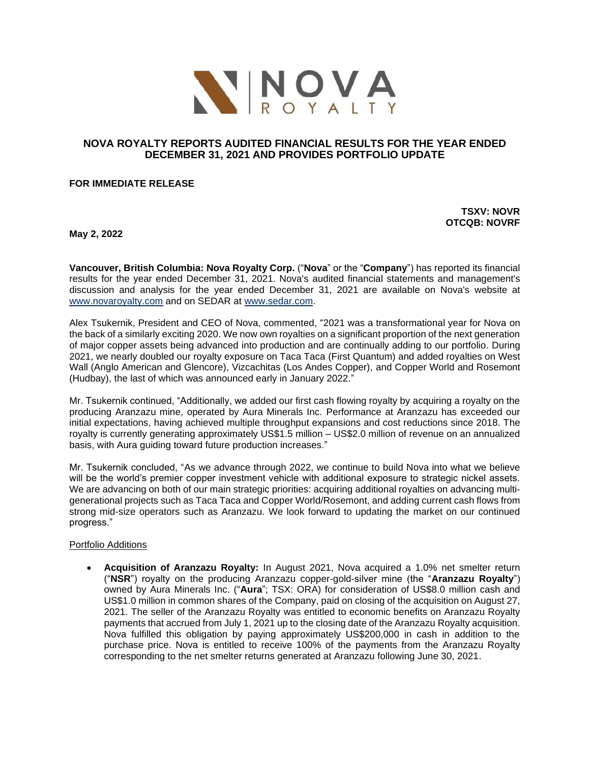

# **NOVA ROYALTY REPORTS AUDITED FINANCIAL RESULTS FOR THE YEAR ENDED DECEMBER 31, 2021 AND PROVIDES PORTFOLIO UPDATE**

### **FOR IMMEDIATE RELEASE**

**TSXV: NOVR OTCQB: NOVRF**

**May 2, 2022**

**Vancouver, British Columbia: Nova Royalty Corp.** ("**Nova**" or the "**Company**") has reported its financial results for the year ended December 31, 2021. Nova's audited financial statements and management's discussion and analysis for the year ended December 31, 2021 are available on Nova's website at [www.novaroyalty.com](http://www.novaroyalty.com/) and on SEDAR at [www.sedar.com.](http://www.sedar.com/)

Alex Tsukernik, President and CEO of Nova, commented, "2021 was a transformational year for Nova on the back of a similarly exciting 2020. We now own royalties on a significant proportion of the next generation of major copper assets being advanced into production and are continually adding to our portfolio. During 2021, we nearly doubled our royalty exposure on Taca Taca (First Quantum) and added royalties on West Wall (Anglo American and Glencore), Vizcachitas (Los Andes Copper), and Copper World and Rosemont (Hudbay), the last of which was announced early in January 2022."

Mr. Tsukernik continued, "Additionally, we added our first cash flowing royalty by acquiring a royalty on the producing Aranzazu mine, operated by Aura Minerals Inc. Performance at Aranzazu has exceeded our initial expectations, having achieved multiple throughput expansions and cost reductions since 2018. The royalty is currently generating approximately US\$1.5 million – US\$2.0 million of revenue on an annualized basis, with Aura guiding toward future production increases."

Mr. Tsukernik concluded, "As we advance through 2022, we continue to build Nova into what we believe will be the world's premier copper investment vehicle with additional exposure to strategic nickel assets. We are advancing on both of our main strategic priorities: acquiring additional royalties on advancing multigenerational projects such as Taca Taca and Copper World/Rosemont, and adding current cash flows from strong mid-size operators such as Aranzazu. We look forward to updating the market on our continued progress."

#### Portfolio Additions

• **Acquisition of Aranzazu Royalty:** In August 2021, Nova acquired a 1.0% net smelter return ("**NSR**") royalty on the producing Aranzazu copper-gold-silver mine (the "**Aranzazu Royalty**") owned by Aura Minerals Inc. ("**Aura**"; TSX: ORA) for consideration of US\$8.0 million cash and US\$1.0 million in common shares of the Company, paid on closing of the acquisition on August 27, 2021. The seller of the Aranzazu Royalty was entitled to economic benefits on Aranzazu Royalty payments that accrued from July 1, 2021 up to the closing date of the Aranzazu Royalty acquisition. Nova fulfilled this obligation by paying approximately US\$200,000 in cash in addition to the purchase price. Nova is entitled to receive 100% of the payments from the Aranzazu Royalty corresponding to the net smelter returns generated at Aranzazu following June 30, 2021.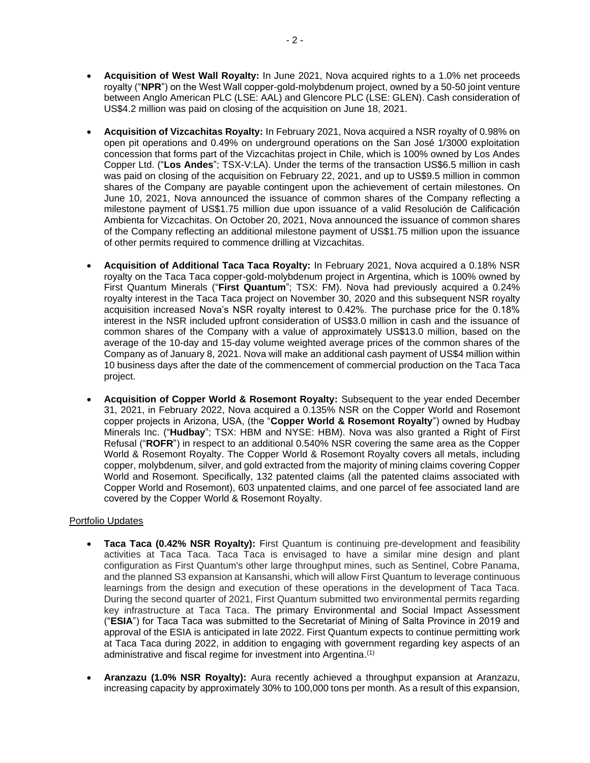- **Acquisition of West Wall Royalty:** In June 2021, Nova acquired rights to a 1.0% net proceeds royalty ("**NPR**") on the West Wall copper-gold-molybdenum project, owned by a 50-50 joint venture between Anglo American PLC (LSE: AAL) and Glencore PLC (LSE: GLEN). Cash consideration of US\$4.2 million was paid on closing of the acquisition on June 18, 2021.
- **Acquisition of Vizcachitas Royalty:** In February 2021, Nova acquired a NSR royalty of 0.98% on open pit operations and 0.49% on underground operations on the San José 1/3000 exploitation concession that forms part of the Vizcachitas project in Chile, which is 100% owned by Los Andes Copper Ltd. ("**Los Andes**"; TSX-V:LA). Under the terms of the transaction US\$6.5 million in cash was paid on closing of the acquisition on February 22, 2021, and up to US\$9.5 million in common shares of the Company are payable contingent upon the achievement of certain milestones. On June 10, 2021, Nova announced the issuance of common shares of the Company reflecting a milestone payment of US\$1.75 million due upon issuance of a valid Resolución de Calificación Ambienta for Vizcachitas. On October 20, 2021, Nova announced the issuance of common shares of the Company reflecting an additional milestone payment of US\$1.75 million upon the issuance of other permits required to commence drilling at Vizcachitas.
- **Acquisition of Additional Taca Taca Royalty:** In February 2021, Nova acquired a 0.18% NSR royalty on the Taca Taca copper-gold-molybdenum project in Argentina, which is 100% owned by First Quantum Minerals ("**First Quantum**"; TSX: FM). Nova had previously acquired a 0.24% royalty interest in the Taca Taca project on November 30, 2020 and this subsequent NSR royalty acquisition increased Nova's NSR royalty interest to 0.42%. The purchase price for the 0.18% interest in the NSR included upfront consideration of US\$3.0 million in cash and the issuance of common shares of the Company with a value of approximately US\$13.0 million, based on the average of the 10-day and 15-day volume weighted average prices of the common shares of the Company as of January 8, 2021. Nova will make an additional cash payment of US\$4 million within 10 business days after the date of the commencement of commercial production on the Taca Taca project.
- **Acquisition of Copper World & Rosemont Royalty:** Subsequent to the year ended December 31, 2021, in February 2022, Nova acquired a 0.135% NSR on the Copper World and Rosemont copper projects in Arizona, USA, (the "**Copper World & Rosemont Royalty**") owned by Hudbay Minerals Inc. ("**Hudbay**"; TSX: HBM and NYSE: HBM). Nova was also granted a Right of First Refusal ("**ROFR**") in respect to an additional 0.540% NSR covering the same area as the Copper World & Rosemont Royalty. The Copper World & Rosemont Royalty covers all metals, including copper, molybdenum, silver, and gold extracted from the majority of mining claims covering Copper World and Rosemont. Specifically, 132 patented claims (all the patented claims associated with Copper World and Rosemont), 603 unpatented claims, and one parcel of fee associated land are covered by the Copper World & Rosemont Royalty.

# Portfolio Updates

- **Taca Taca (0.42% NSR Royalty):** First Quantum is continuing pre-development and feasibility activities at Taca Taca. Taca Taca is envisaged to have a similar mine design and plant configuration as First Quantum's other large throughput mines, such as Sentinel, Cobre Panama, and the planned S3 expansion at Kansanshi, which will allow First Quantum to leverage continuous learnings from the design and execution of these operations in the development of Taca Taca. During the second quarter of 2021, First Quantum submitted two environmental permits regarding key infrastructure at Taca Taca. The primary Environmental and Social Impact Assessment ("**ESIA**") for Taca Taca was submitted to the Secretariat of Mining of Salta Province in 2019 and approval of the ESIA is anticipated in late 2022. First Quantum expects to continue permitting work at Taca Taca during 2022, in addition to engaging with government regarding key aspects of an administrative and fiscal regime for investment into Argentina.<sup>(1)</sup>
- **Aranzazu (1.0% NSR Royalty):** Aura recently achieved a throughput expansion at Aranzazu, increasing capacity by approximately 30% to 100,000 tons per month. As a result of this expansion,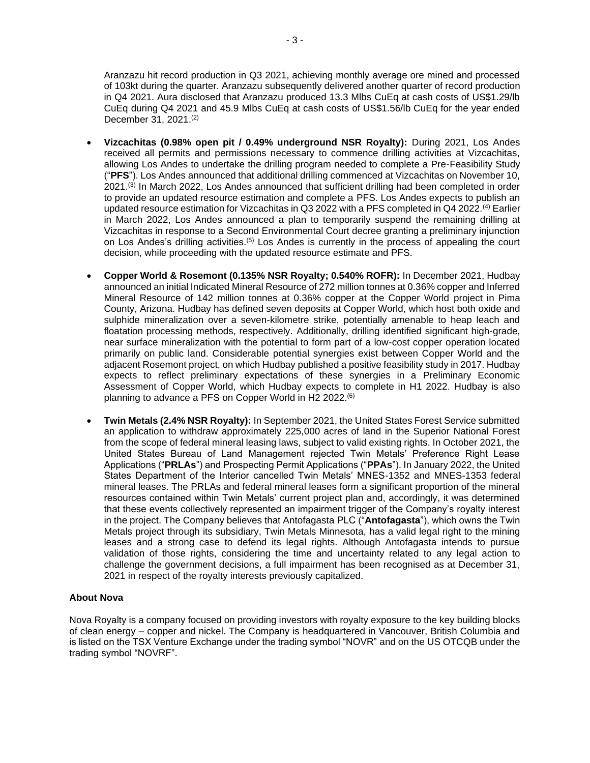Aranzazu hit record production in Q3 2021, achieving monthly average ore mined and processed of 103kt during the quarter. Aranzazu subsequently delivered another quarter of record production in Q4 2021. Aura disclosed that Aranzazu produced 13.3 Mlbs CuEq at cash costs of US\$1.29/lb CuEq during Q4 2021 and 45.9 Mlbs CuEq at cash costs of US\$1.56/lb CuEq for the year ended December 31, 2021. (2)

- **Vizcachitas (0.98% open pit / 0.49% underground NSR Royalty):** During 2021, Los Andes received all permits and permissions necessary to commence drilling activities at Vizcachitas, allowing Los Andes to undertake the drilling program needed to complete a Pre-Feasibility Study ("**PFS**"). Los Andes announced that additional drilling commenced at Vizcachitas on November 10, 2021.<sup>(3)</sup> In March 2022, Los Andes announced that sufficient drilling had been completed in order to provide an updated resource estimation and complete a PFS. Los Andes expects to publish an updated resource estimation for Vizcachitas in Q3 2022 with a PFS completed in Q4 2022.<sup>(4)</sup> Earlier in March 2022, Los Andes announced a plan to temporarily suspend the remaining drilling at Vizcachitas in response to a Second Environmental Court decree granting a preliminary injunction on Los Andes's drilling activities.<sup>(5)</sup> Los Andes is currently in the process of appealing the court decision, while proceeding with the updated resource estimate and PFS.
- **Copper World & Rosemont (0.135% NSR Royalty; 0.540% ROFR):** In December 2021, Hudbay announced an initial Indicated Mineral Resource of 272 million tonnes at 0.36% copper and Inferred Mineral Resource of 142 million tonnes at 0.36% copper at the Copper World project in Pima County, Arizona. Hudbay has defined seven deposits at Copper World, which host both oxide and sulphide mineralization over a seven-kilometre strike, potentially amenable to heap leach and floatation processing methods, respectively. Additionally, drilling identified significant high-grade, near surface mineralization with the potential to form part of a low-cost copper operation located primarily on public land. Considerable potential synergies exist between Copper World and the adjacent Rosemont project, on which Hudbay published a positive feasibility study in 2017. Hudbay expects to reflect preliminary expectations of these synergies in a Preliminary Economic Assessment of Copper World, which Hudbay expects to complete in H1 2022. Hudbay is also planning to advance a PFS on Copper World in H2 2022.<sup>(6)</sup>
- **Twin Metals (2.4% NSR Royalty):** In September 2021, the United States Forest Service submitted an application to withdraw approximately 225,000 acres of land in the Superior National Forest from the scope of federal mineral leasing laws, subject to valid existing rights. In October 2021, the United States Bureau of Land Management rejected Twin Metals' Preference Right Lease Applications ("**PRLAs**") and Prospecting Permit Applications ("**PPAs**"). In January 2022, the United States Department of the Interior cancelled Twin Metals' MNES-1352 and MNES-1353 federal mineral leases. The PRLAs and federal mineral leases form a significant proportion of the mineral resources contained within Twin Metals' current project plan and, accordingly, it was determined that these events collectively represented an impairment trigger of the Company's royalty interest in the project. The Company believes that Antofagasta PLC ("**Antofagasta**"), which owns the Twin Metals project through its subsidiary, Twin Metals Minnesota, has a valid legal right to the mining leases and a strong case to defend its legal rights. Although Antofagasta intends to pursue validation of those rights, considering the time and uncertainty related to any legal action to challenge the government decisions, a full impairment has been recognised as at December 31, 2021 in respect of the royalty interests previously capitalized.

## **About Nova**

Nova Royalty is a company focused on providing investors with royalty exposure to the key building blocks of clean energy – copper and nickel. The Company is headquartered in Vancouver, British Columbia and is listed on the TSX Venture Exchange under the trading symbol "NOVR" and on the US OTCQB under the trading symbol "NOVRF".